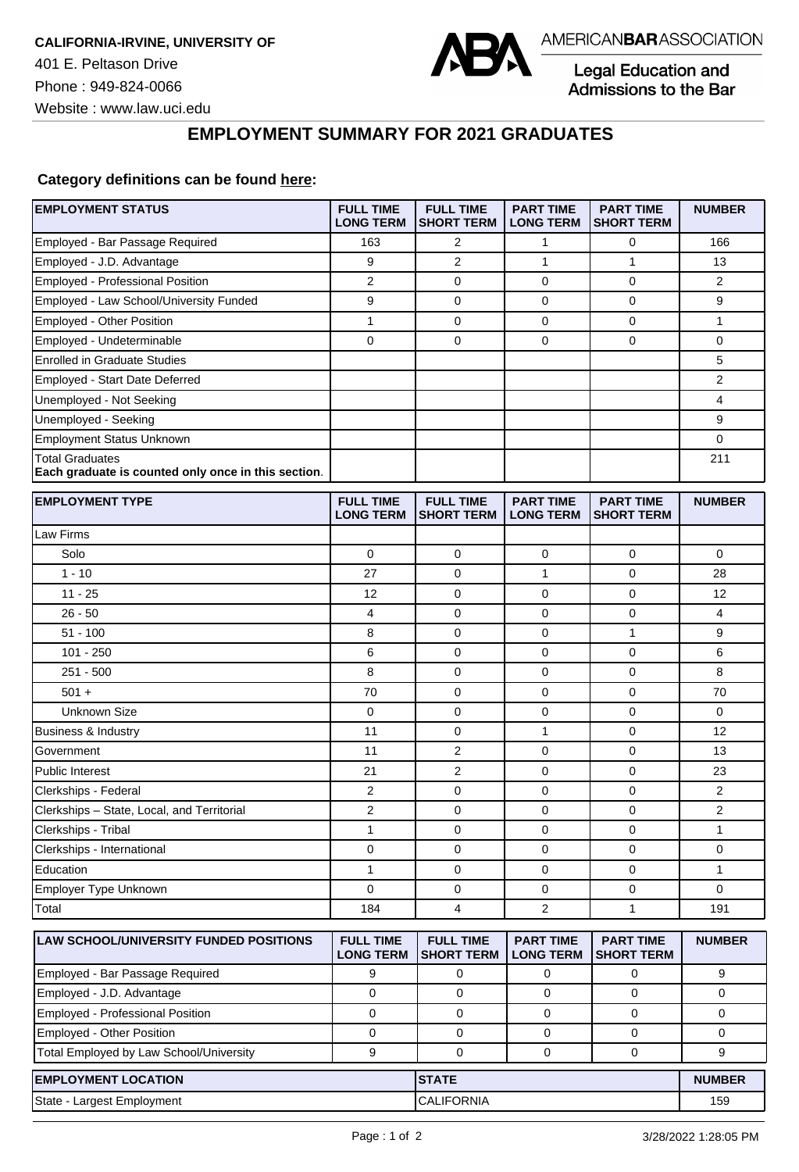

Legal Education and Admissions to the Bar

┑

Website : www.law.uci.edu

## **EMPLOYMENT SUMMARY FOR 2021 GRADUATES**

## **Category definitions can be found [here:](https://www.americanbar.org/content/dam/aba/administrative/legal_education_and_admissions_to_the_bar/Questionnaires/2021/2022-employment-protocols-for-the-class-of-2021-september-2021.pdf)**

| Employed - Bar Passage Required<br>163<br>2<br>1<br>0<br>166<br>Employed - J.D. Advantage<br>9<br>$\overline{2}$<br>$\mathbf{1}$<br>1<br>13<br>Employed - Professional Position<br>2<br>2<br>0<br>0<br>0<br>Employed - Law School/University Funded<br>9<br>$\mathbf 0$<br>$\mathbf 0$<br>9<br>0<br>Employed - Other Position<br>1<br>0<br>0<br>1<br>0<br>Employed - Undeterminable<br>0<br>$\mathbf 0$<br>0<br>$\mathbf 0$<br>0<br><b>Enrolled in Graduate Studies</b><br>5<br>2<br><b>Employed - Start Date Deferred</b><br>4<br>Unemployed - Not Seeking<br>Unemployed - Seeking<br>9<br><b>Employment Status Unknown</b><br>0<br><b>Total Graduates</b><br>211<br>Each graduate is counted only once in this section.<br><b>EMPLOYMENT TYPE</b><br><b>FULL TIME</b><br><b>FULL TIME</b><br><b>PART TIME</b><br><b>PART TIME</b><br><b>NUMBER</b><br><b>LONG TERM</b><br><b>SHORT TERM</b><br><b>LONG TERM</b><br><b>SHORT TERM</b><br>Law Firms<br>Solo<br>0<br>$\mathbf 0$<br>0<br>0<br>0<br>$1 - 10$<br>$\mathbf 0$<br>1<br>$\mathbf 0$<br>27<br>28<br>$11 - 25$<br>$\mathbf 0$<br>0<br>12<br>0<br>12<br>0<br>$26 - 50$<br>4<br>$\mathbf 0$<br>0<br>4<br>$51 - 100$<br>8<br>0<br>0<br>1<br>9<br>$101 - 250$<br>6<br>$\mathbf 0$<br>$\mathbf 0$<br>6<br>0<br>$251 - 500$<br>$\mathbf 0$<br>8<br>8<br>0<br>0<br>70<br>0<br>$\mathbf 0$<br>70<br>$501 +$<br>0<br><b>Unknown Size</b><br>0<br>0<br>0<br>0<br>0<br>11<br>0<br>1<br>$\mathbf 0$<br>12<br>Business & Industry<br>$\overline{2}$<br>Government<br>11<br>0<br>0<br>13<br>2<br>$\mathbf 0$<br><b>Public Interest</b><br>21<br>0<br>23<br>2<br>0<br>0<br>$\mathbf 0$<br>2<br>Clerkships - Federal<br>Clerkships - State, Local, and Territorial<br>2<br>0<br>0<br>$\mathbf 0$<br>2<br>Clerkships - Tribal<br>1<br>1<br>0<br>0<br>0<br>0<br>0<br>0<br>Clerkships - International<br>0<br>0<br>Education<br>1<br>1<br>0<br>0<br>0<br>Employer Type Unknown<br>$\mathbf 0$<br>$\mathbf 0$<br>0<br>0<br>0<br>Total<br>184<br>4<br>2<br>$\mathbf{1}$<br>191<br><b>FULL TIME</b><br>LAW SCHOOL/UNIVERSITY FUNDED POSITIONS<br><b>FULL TIME</b><br><b>PART TIME</b><br><b>PART TIME</b><br><b>NUMBER</b><br><b>LONG TERM</b><br><b>SHORT TERM</b><br><b>LONG TERM</b><br><b>SHORT TERM</b><br>Employed - Bar Passage Required<br>9<br>9<br>0<br>0<br>0<br>Employed - J.D. Advantage<br>$\mathbf 0$<br>0<br>0<br>0<br>0<br>Employed - Professional Position<br>$\mathbf 0$<br>0<br>$\mathbf 0$<br>$\mathbf 0$<br>0<br>Employed - Other Position<br>0<br>0<br>0<br>0<br>0<br>Total Employed by Law School/University<br>9<br>$\mathbf 0$<br>$\mathbf 0$<br>$\mathbf 0$<br>9<br><b>EMPLOYMENT LOCATION</b><br><b>STATE</b><br><b>NUMBER</b><br><b>CALIFORNIA</b><br>State - Largest Employment<br>159 | <b>EMPLOYMENT STATUS</b> | <b>FULL TIME</b><br><b>LONG TERM</b> | <b>FULL TIME</b><br><b>SHORT TERM</b> | <b>PART TIME</b><br><b>LONG TERM</b> | <b>PART TIME</b><br><b>SHORT TERM</b> | <b>NUMBER</b> |
|--------------------------------------------------------------------------------------------------------------------------------------------------------------------------------------------------------------------------------------------------------------------------------------------------------------------------------------------------------------------------------------------------------------------------------------------------------------------------------------------------------------------------------------------------------------------------------------------------------------------------------------------------------------------------------------------------------------------------------------------------------------------------------------------------------------------------------------------------------------------------------------------------------------------------------------------------------------------------------------------------------------------------------------------------------------------------------------------------------------------------------------------------------------------------------------------------------------------------------------------------------------------------------------------------------------------------------------------------------------------------------------------------------------------------------------------------------------------------------------------------------------------------------------------------------------------------------------------------------------------------------------------------------------------------------------------------------------------------------------------------------------------------------------------------------------------------------------------------------------------------------------------------------------------------------------------------------------------------------------------------------------------------------------------------------------------------------------------------------------------------------------------------------------------------------------------------------------------------------------------------------------------------------------------------------------------------------------------------------------------------------------------------------------------------------------------------------------------------------------------------------------------------------------------------------------------------------------------------------------------------------------------------------------------------------------------------------------------------------------------------------|--------------------------|--------------------------------------|---------------------------------------|--------------------------------------|---------------------------------------|---------------|
|                                                                                                                                                                                                                                                                                                                                                                                                                                                                                                                                                                                                                                                                                                                                                                                                                                                                                                                                                                                                                                                                                                                                                                                                                                                                                                                                                                                                                                                                                                                                                                                                                                                                                                                                                                                                                                                                                                                                                                                                                                                                                                                                                                                                                                                                                                                                                                                                                                                                                                                                                                                                                                                                                                                                                        |                          |                                      |                                       |                                      |                                       |               |
|                                                                                                                                                                                                                                                                                                                                                                                                                                                                                                                                                                                                                                                                                                                                                                                                                                                                                                                                                                                                                                                                                                                                                                                                                                                                                                                                                                                                                                                                                                                                                                                                                                                                                                                                                                                                                                                                                                                                                                                                                                                                                                                                                                                                                                                                                                                                                                                                                                                                                                                                                                                                                                                                                                                                                        |                          |                                      |                                       |                                      |                                       |               |
|                                                                                                                                                                                                                                                                                                                                                                                                                                                                                                                                                                                                                                                                                                                                                                                                                                                                                                                                                                                                                                                                                                                                                                                                                                                                                                                                                                                                                                                                                                                                                                                                                                                                                                                                                                                                                                                                                                                                                                                                                                                                                                                                                                                                                                                                                                                                                                                                                                                                                                                                                                                                                                                                                                                                                        |                          |                                      |                                       |                                      |                                       |               |
|                                                                                                                                                                                                                                                                                                                                                                                                                                                                                                                                                                                                                                                                                                                                                                                                                                                                                                                                                                                                                                                                                                                                                                                                                                                                                                                                                                                                                                                                                                                                                                                                                                                                                                                                                                                                                                                                                                                                                                                                                                                                                                                                                                                                                                                                                                                                                                                                                                                                                                                                                                                                                                                                                                                                                        |                          |                                      |                                       |                                      |                                       |               |
|                                                                                                                                                                                                                                                                                                                                                                                                                                                                                                                                                                                                                                                                                                                                                                                                                                                                                                                                                                                                                                                                                                                                                                                                                                                                                                                                                                                                                                                                                                                                                                                                                                                                                                                                                                                                                                                                                                                                                                                                                                                                                                                                                                                                                                                                                                                                                                                                                                                                                                                                                                                                                                                                                                                                                        |                          |                                      |                                       |                                      |                                       |               |
|                                                                                                                                                                                                                                                                                                                                                                                                                                                                                                                                                                                                                                                                                                                                                                                                                                                                                                                                                                                                                                                                                                                                                                                                                                                                                                                                                                                                                                                                                                                                                                                                                                                                                                                                                                                                                                                                                                                                                                                                                                                                                                                                                                                                                                                                                                                                                                                                                                                                                                                                                                                                                                                                                                                                                        |                          |                                      |                                       |                                      |                                       |               |
|                                                                                                                                                                                                                                                                                                                                                                                                                                                                                                                                                                                                                                                                                                                                                                                                                                                                                                                                                                                                                                                                                                                                                                                                                                                                                                                                                                                                                                                                                                                                                                                                                                                                                                                                                                                                                                                                                                                                                                                                                                                                                                                                                                                                                                                                                                                                                                                                                                                                                                                                                                                                                                                                                                                                                        |                          |                                      |                                       |                                      |                                       |               |
|                                                                                                                                                                                                                                                                                                                                                                                                                                                                                                                                                                                                                                                                                                                                                                                                                                                                                                                                                                                                                                                                                                                                                                                                                                                                                                                                                                                                                                                                                                                                                                                                                                                                                                                                                                                                                                                                                                                                                                                                                                                                                                                                                                                                                                                                                                                                                                                                                                                                                                                                                                                                                                                                                                                                                        |                          |                                      |                                       |                                      |                                       |               |
|                                                                                                                                                                                                                                                                                                                                                                                                                                                                                                                                                                                                                                                                                                                                                                                                                                                                                                                                                                                                                                                                                                                                                                                                                                                                                                                                                                                                                                                                                                                                                                                                                                                                                                                                                                                                                                                                                                                                                                                                                                                                                                                                                                                                                                                                                                                                                                                                                                                                                                                                                                                                                                                                                                                                                        |                          |                                      |                                       |                                      |                                       |               |
|                                                                                                                                                                                                                                                                                                                                                                                                                                                                                                                                                                                                                                                                                                                                                                                                                                                                                                                                                                                                                                                                                                                                                                                                                                                                                                                                                                                                                                                                                                                                                                                                                                                                                                                                                                                                                                                                                                                                                                                                                                                                                                                                                                                                                                                                                                                                                                                                                                                                                                                                                                                                                                                                                                                                                        |                          |                                      |                                       |                                      |                                       |               |
|                                                                                                                                                                                                                                                                                                                                                                                                                                                                                                                                                                                                                                                                                                                                                                                                                                                                                                                                                                                                                                                                                                                                                                                                                                                                                                                                                                                                                                                                                                                                                                                                                                                                                                                                                                                                                                                                                                                                                                                                                                                                                                                                                                                                                                                                                                                                                                                                                                                                                                                                                                                                                                                                                                                                                        |                          |                                      |                                       |                                      |                                       |               |
|                                                                                                                                                                                                                                                                                                                                                                                                                                                                                                                                                                                                                                                                                                                                                                                                                                                                                                                                                                                                                                                                                                                                                                                                                                                                                                                                                                                                                                                                                                                                                                                                                                                                                                                                                                                                                                                                                                                                                                                                                                                                                                                                                                                                                                                                                                                                                                                                                                                                                                                                                                                                                                                                                                                                                        |                          |                                      |                                       |                                      |                                       |               |
|                                                                                                                                                                                                                                                                                                                                                                                                                                                                                                                                                                                                                                                                                                                                                                                                                                                                                                                                                                                                                                                                                                                                                                                                                                                                                                                                                                                                                                                                                                                                                                                                                                                                                                                                                                                                                                                                                                                                                                                                                                                                                                                                                                                                                                                                                                                                                                                                                                                                                                                                                                                                                                                                                                                                                        |                          |                                      |                                       |                                      |                                       |               |
|                                                                                                                                                                                                                                                                                                                                                                                                                                                                                                                                                                                                                                                                                                                                                                                                                                                                                                                                                                                                                                                                                                                                                                                                                                                                                                                                                                                                                                                                                                                                                                                                                                                                                                                                                                                                                                                                                                                                                                                                                                                                                                                                                                                                                                                                                                                                                                                                                                                                                                                                                                                                                                                                                                                                                        |                          |                                      |                                       |                                      |                                       |               |
|                                                                                                                                                                                                                                                                                                                                                                                                                                                                                                                                                                                                                                                                                                                                                                                                                                                                                                                                                                                                                                                                                                                                                                                                                                                                                                                                                                                                                                                                                                                                                                                                                                                                                                                                                                                                                                                                                                                                                                                                                                                                                                                                                                                                                                                                                                                                                                                                                                                                                                                                                                                                                                                                                                                                                        |                          |                                      |                                       |                                      |                                       |               |
|                                                                                                                                                                                                                                                                                                                                                                                                                                                                                                                                                                                                                                                                                                                                                                                                                                                                                                                                                                                                                                                                                                                                                                                                                                                                                                                                                                                                                                                                                                                                                                                                                                                                                                                                                                                                                                                                                                                                                                                                                                                                                                                                                                                                                                                                                                                                                                                                                                                                                                                                                                                                                                                                                                                                                        |                          |                                      |                                       |                                      |                                       |               |
|                                                                                                                                                                                                                                                                                                                                                                                                                                                                                                                                                                                                                                                                                                                                                                                                                                                                                                                                                                                                                                                                                                                                                                                                                                                                                                                                                                                                                                                                                                                                                                                                                                                                                                                                                                                                                                                                                                                                                                                                                                                                                                                                                                                                                                                                                                                                                                                                                                                                                                                                                                                                                                                                                                                                                        |                          |                                      |                                       |                                      |                                       |               |
|                                                                                                                                                                                                                                                                                                                                                                                                                                                                                                                                                                                                                                                                                                                                                                                                                                                                                                                                                                                                                                                                                                                                                                                                                                                                                                                                                                                                                                                                                                                                                                                                                                                                                                                                                                                                                                                                                                                                                                                                                                                                                                                                                                                                                                                                                                                                                                                                                                                                                                                                                                                                                                                                                                                                                        |                          |                                      |                                       |                                      |                                       |               |
|                                                                                                                                                                                                                                                                                                                                                                                                                                                                                                                                                                                                                                                                                                                                                                                                                                                                                                                                                                                                                                                                                                                                                                                                                                                                                                                                                                                                                                                                                                                                                                                                                                                                                                                                                                                                                                                                                                                                                                                                                                                                                                                                                                                                                                                                                                                                                                                                                                                                                                                                                                                                                                                                                                                                                        |                          |                                      |                                       |                                      |                                       |               |
|                                                                                                                                                                                                                                                                                                                                                                                                                                                                                                                                                                                                                                                                                                                                                                                                                                                                                                                                                                                                                                                                                                                                                                                                                                                                                                                                                                                                                                                                                                                                                                                                                                                                                                                                                                                                                                                                                                                                                                                                                                                                                                                                                                                                                                                                                                                                                                                                                                                                                                                                                                                                                                                                                                                                                        |                          |                                      |                                       |                                      |                                       |               |
|                                                                                                                                                                                                                                                                                                                                                                                                                                                                                                                                                                                                                                                                                                                                                                                                                                                                                                                                                                                                                                                                                                                                                                                                                                                                                                                                                                                                                                                                                                                                                                                                                                                                                                                                                                                                                                                                                                                                                                                                                                                                                                                                                                                                                                                                                                                                                                                                                                                                                                                                                                                                                                                                                                                                                        |                          |                                      |                                       |                                      |                                       |               |
|                                                                                                                                                                                                                                                                                                                                                                                                                                                                                                                                                                                                                                                                                                                                                                                                                                                                                                                                                                                                                                                                                                                                                                                                                                                                                                                                                                                                                                                                                                                                                                                                                                                                                                                                                                                                                                                                                                                                                                                                                                                                                                                                                                                                                                                                                                                                                                                                                                                                                                                                                                                                                                                                                                                                                        |                          |                                      |                                       |                                      |                                       |               |
|                                                                                                                                                                                                                                                                                                                                                                                                                                                                                                                                                                                                                                                                                                                                                                                                                                                                                                                                                                                                                                                                                                                                                                                                                                                                                                                                                                                                                                                                                                                                                                                                                                                                                                                                                                                                                                                                                                                                                                                                                                                                                                                                                                                                                                                                                                                                                                                                                                                                                                                                                                                                                                                                                                                                                        |                          |                                      |                                       |                                      |                                       |               |
|                                                                                                                                                                                                                                                                                                                                                                                                                                                                                                                                                                                                                                                                                                                                                                                                                                                                                                                                                                                                                                                                                                                                                                                                                                                                                                                                                                                                                                                                                                                                                                                                                                                                                                                                                                                                                                                                                                                                                                                                                                                                                                                                                                                                                                                                                                                                                                                                                                                                                                                                                                                                                                                                                                                                                        |                          |                                      |                                       |                                      |                                       |               |
|                                                                                                                                                                                                                                                                                                                                                                                                                                                                                                                                                                                                                                                                                                                                                                                                                                                                                                                                                                                                                                                                                                                                                                                                                                                                                                                                                                                                                                                                                                                                                                                                                                                                                                                                                                                                                                                                                                                                                                                                                                                                                                                                                                                                                                                                                                                                                                                                                                                                                                                                                                                                                                                                                                                                                        |                          |                                      |                                       |                                      |                                       |               |
|                                                                                                                                                                                                                                                                                                                                                                                                                                                                                                                                                                                                                                                                                                                                                                                                                                                                                                                                                                                                                                                                                                                                                                                                                                                                                                                                                                                                                                                                                                                                                                                                                                                                                                                                                                                                                                                                                                                                                                                                                                                                                                                                                                                                                                                                                                                                                                                                                                                                                                                                                                                                                                                                                                                                                        |                          |                                      |                                       |                                      |                                       |               |
|                                                                                                                                                                                                                                                                                                                                                                                                                                                                                                                                                                                                                                                                                                                                                                                                                                                                                                                                                                                                                                                                                                                                                                                                                                                                                                                                                                                                                                                                                                                                                                                                                                                                                                                                                                                                                                                                                                                                                                                                                                                                                                                                                                                                                                                                                                                                                                                                                                                                                                                                                                                                                                                                                                                                                        |                          |                                      |                                       |                                      |                                       |               |
|                                                                                                                                                                                                                                                                                                                                                                                                                                                                                                                                                                                                                                                                                                                                                                                                                                                                                                                                                                                                                                                                                                                                                                                                                                                                                                                                                                                                                                                                                                                                                                                                                                                                                                                                                                                                                                                                                                                                                                                                                                                                                                                                                                                                                                                                                                                                                                                                                                                                                                                                                                                                                                                                                                                                                        |                          |                                      |                                       |                                      |                                       |               |
|                                                                                                                                                                                                                                                                                                                                                                                                                                                                                                                                                                                                                                                                                                                                                                                                                                                                                                                                                                                                                                                                                                                                                                                                                                                                                                                                                                                                                                                                                                                                                                                                                                                                                                                                                                                                                                                                                                                                                                                                                                                                                                                                                                                                                                                                                                                                                                                                                                                                                                                                                                                                                                                                                                                                                        |                          |                                      |                                       |                                      |                                       |               |
|                                                                                                                                                                                                                                                                                                                                                                                                                                                                                                                                                                                                                                                                                                                                                                                                                                                                                                                                                                                                                                                                                                                                                                                                                                                                                                                                                                                                                                                                                                                                                                                                                                                                                                                                                                                                                                                                                                                                                                                                                                                                                                                                                                                                                                                                                                                                                                                                                                                                                                                                                                                                                                                                                                                                                        |                          |                                      |                                       |                                      |                                       |               |
|                                                                                                                                                                                                                                                                                                                                                                                                                                                                                                                                                                                                                                                                                                                                                                                                                                                                                                                                                                                                                                                                                                                                                                                                                                                                                                                                                                                                                                                                                                                                                                                                                                                                                                                                                                                                                                                                                                                                                                                                                                                                                                                                                                                                                                                                                                                                                                                                                                                                                                                                                                                                                                                                                                                                                        |                          |                                      |                                       |                                      |                                       |               |
|                                                                                                                                                                                                                                                                                                                                                                                                                                                                                                                                                                                                                                                                                                                                                                                                                                                                                                                                                                                                                                                                                                                                                                                                                                                                                                                                                                                                                                                                                                                                                                                                                                                                                                                                                                                                                                                                                                                                                                                                                                                                                                                                                                                                                                                                                                                                                                                                                                                                                                                                                                                                                                                                                                                                                        |                          |                                      |                                       |                                      |                                       |               |
|                                                                                                                                                                                                                                                                                                                                                                                                                                                                                                                                                                                                                                                                                                                                                                                                                                                                                                                                                                                                                                                                                                                                                                                                                                                                                                                                                                                                                                                                                                                                                                                                                                                                                                                                                                                                                                                                                                                                                                                                                                                                                                                                                                                                                                                                                                                                                                                                                                                                                                                                                                                                                                                                                                                                                        |                          |                                      |                                       |                                      |                                       |               |
|                                                                                                                                                                                                                                                                                                                                                                                                                                                                                                                                                                                                                                                                                                                                                                                                                                                                                                                                                                                                                                                                                                                                                                                                                                                                                                                                                                                                                                                                                                                                                                                                                                                                                                                                                                                                                                                                                                                                                                                                                                                                                                                                                                                                                                                                                                                                                                                                                                                                                                                                                                                                                                                                                                                                                        |                          |                                      |                                       |                                      |                                       |               |
|                                                                                                                                                                                                                                                                                                                                                                                                                                                                                                                                                                                                                                                                                                                                                                                                                                                                                                                                                                                                                                                                                                                                                                                                                                                                                                                                                                                                                                                                                                                                                                                                                                                                                                                                                                                                                                                                                                                                                                                                                                                                                                                                                                                                                                                                                                                                                                                                                                                                                                                                                                                                                                                                                                                                                        |                          |                                      |                                       |                                      |                                       |               |
|                                                                                                                                                                                                                                                                                                                                                                                                                                                                                                                                                                                                                                                                                                                                                                                                                                                                                                                                                                                                                                                                                                                                                                                                                                                                                                                                                                                                                                                                                                                                                                                                                                                                                                                                                                                                                                                                                                                                                                                                                                                                                                                                                                                                                                                                                                                                                                                                                                                                                                                                                                                                                                                                                                                                                        |                          |                                      |                                       |                                      |                                       |               |
|                                                                                                                                                                                                                                                                                                                                                                                                                                                                                                                                                                                                                                                                                                                                                                                                                                                                                                                                                                                                                                                                                                                                                                                                                                                                                                                                                                                                                                                                                                                                                                                                                                                                                                                                                                                                                                                                                                                                                                                                                                                                                                                                                                                                                                                                                                                                                                                                                                                                                                                                                                                                                                                                                                                                                        |                          |                                      |                                       |                                      |                                       |               |
|                                                                                                                                                                                                                                                                                                                                                                                                                                                                                                                                                                                                                                                                                                                                                                                                                                                                                                                                                                                                                                                                                                                                                                                                                                                                                                                                                                                                                                                                                                                                                                                                                                                                                                                                                                                                                                                                                                                                                                                                                                                                                                                                                                                                                                                                                                                                                                                                                                                                                                                                                                                                                                                                                                                                                        |                          |                                      |                                       |                                      |                                       |               |
|                                                                                                                                                                                                                                                                                                                                                                                                                                                                                                                                                                                                                                                                                                                                                                                                                                                                                                                                                                                                                                                                                                                                                                                                                                                                                                                                                                                                                                                                                                                                                                                                                                                                                                                                                                                                                                                                                                                                                                                                                                                                                                                                                                                                                                                                                                                                                                                                                                                                                                                                                                                                                                                                                                                                                        |                          |                                      |                                       |                                      |                                       |               |
|                                                                                                                                                                                                                                                                                                                                                                                                                                                                                                                                                                                                                                                                                                                                                                                                                                                                                                                                                                                                                                                                                                                                                                                                                                                                                                                                                                                                                                                                                                                                                                                                                                                                                                                                                                                                                                                                                                                                                                                                                                                                                                                                                                                                                                                                                                                                                                                                                                                                                                                                                                                                                                                                                                                                                        |                          |                                      |                                       |                                      |                                       |               |
|                                                                                                                                                                                                                                                                                                                                                                                                                                                                                                                                                                                                                                                                                                                                                                                                                                                                                                                                                                                                                                                                                                                                                                                                                                                                                                                                                                                                                                                                                                                                                                                                                                                                                                                                                                                                                                                                                                                                                                                                                                                                                                                                                                                                                                                                                                                                                                                                                                                                                                                                                                                                                                                                                                                                                        |                          |                                      |                                       |                                      |                                       |               |